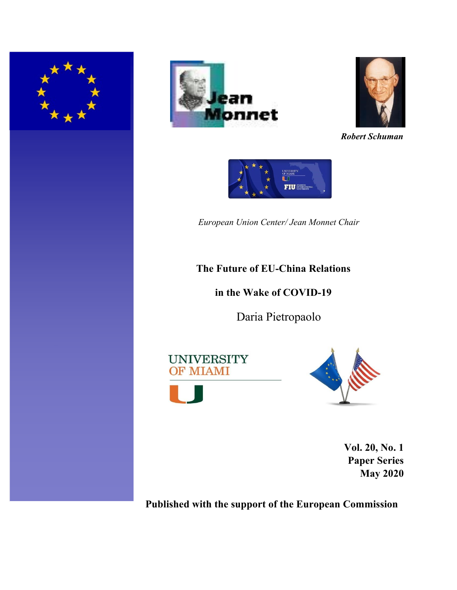





*Robert Schuman*

UNIVERSITY<br>OF MIAMI **FIU INTERNATE** 

*European Union Center/ Jean Monnet Chair* 

# **The Future of EU-China Relations**

**in the Wake of COVID-19**

Daria Pietropaolo

**UNIVERSITY OF MIAMI** 





**Vol. 20, No. 1 Paper Series May 2020** 

**Published with the support of the European Commission**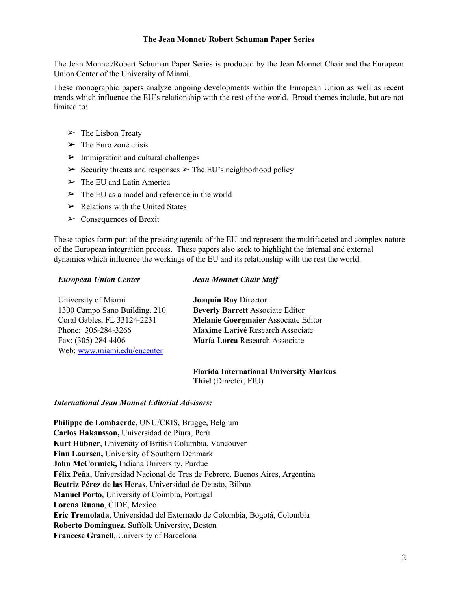### **The Jean Monnet/ Robert Schuman Paper Series**

The Jean Monnet/Robert Schuman Paper Series is produced by the Jean Monnet Chair and the European Union Center of the University of Miami.

These monographic papers analyze ongoing developments within the European Union as well as recent trends which influence the EU's relationship with the rest of the world. Broad themes include, but are not limited to:

- $\triangleright$  The Lisbon Treaty
- $\triangleright$  The Euro zone crisis
- $\triangleright$  Immigration and cultural challenges
- $\triangleright$  Security threats and responses  $\triangleright$  The EU's neighborhood policy
- $\triangleright$  The EU and Latin America
- $\triangleright$  The EU as a model and reference in the world
- $\triangleright$  Relations with the United States
- $\triangleright$  Consequences of Brexit

These topics form part of the pressing agenda of the EU and represent the multifaceted and complex nature of the European integration process. These papers also seek to highlight the internal and external dynamics which influence the workings of the EU and its relationship with the rest the world.

### *European Union Center*

## *Jean Monnet Chair Staff*

| University of Miami           | <b>Joaquín Roy Director</b>                |
|-------------------------------|--------------------------------------------|
| 1300 Campo Sano Building, 210 | <b>Beverly Barrett Associate Editor</b>    |
| Coral Gables, FL 33124-2231   | <b>Melanie Goergmaier Associate Editor</b> |
| Phone: 305-284-3266           | Maxime Larivé Research Associate           |
| Fax: (305) 284 4406           | María Lorca Research Associate             |
| Web: www.miami.edu/eucenter   |                                            |

**Florida International University Markus Thiel** (Director, FIU)

#### *International Jean Monnet Editorial Advisors:*

**Philippe de Lombaerde**, UNU/CRIS, Brugge, Belgium **Carlos Hakansson,** Universidad de Piura, Perú **Kurt Hübner**, University of British Columbia, Vancouver **Finn Laursen,** University of Southern Denmark **John McCormick,** Indiana University, Purdue **Félix Peña**, Universidad Nacional de Tres de Febrero, Buenos Aires, Argentina **Beatriz Pérez de las Heras**, Universidad de Deusto, Bilbao **Manuel Porto**, University of Coimbra, Portugal **Lorena Ruano**, CIDE, Mexico **Eric Tremolada**, Universidad del Externado de Colombia, Bogotá, Colombia **Roberto Domínguez**, Suffolk University, Boston **Francesc Granell**, University of Barcelona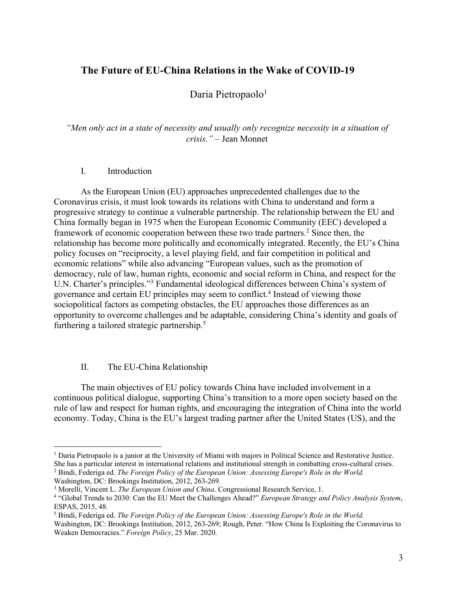# **The Future of EU-China Relations in the Wake of COVID-19**

# Daria Pietropaolo<sup>1</sup>

*"Men only act in a state of necessity and usually only recognize necessity in a situation of crisis."* – Jean Monnet

#### I. Introduction

As the European Union (EU) approaches unprecedented challenges due to the Coronavirus crisis, it must look towards its relations with China to understand and form a progressive strategy to continue a vulnerable partnership. The relationship between the EU and China formally began in 1975 when the European Economic Community (EEC) developed a framework of economic cooperation between these two trade partners.<sup>2</sup> Since then, the relationship has become more politically and economically integrated. Recently, the EU's China policy focuses on "reciprocity, a level playing field, and fair competition in political and economic relations" while also advancing "European values, such as the promotion of democracy, rule of law, human rights, economic and social reform in China, and respect for the U.N. Charter's principles."3 Fundamental ideological differences between China's system of governance and certain EU principles may seem to conflict.4 Instead of viewing those sociopolitical factors as competing obstacles, the EU approaches those differences as an opportunity to overcome challenges and be adaptable, considering China's identity and goals of furthering a tailored strategic partnership.5

## II. The EU-China Relationship

The main objectives of EU policy towards China have included involvement in a continuous political dialogue, supporting China's transition to a more open society based on the rule of law and respect for human rights, and encouraging the integration of China into the world economy. Today, China is the EU's largest trading partner after the United States (US), and the

<sup>2</sup> Bindi, Federiga ed. *The Foreign Policy of the European Union: Assessing Europe's Role in the World.* Washington, DC: Brookings Institution, 2012, 263-269.

<sup>1</sup> Daria Pietropaolo is a junior at the University of Miami with majors in Political Science and Restorative Justice. She has a particular interest in international relations and institutional strength in combatting cross-cultural crises.

<sup>3</sup> Morelli, Vincent L. *The European Union and China*. Congressional Research Service, 1.

<sup>4</sup> "Global Trends to 2030: Can the EU Meet the Challenges Ahead?" *European Strategy and Policy Analysis System*, ESPAS, 2015, 48.

<sup>5</sup> Bindi, Federiga ed. *The Foreign Policy of the European Union: Assessing Europe's Role in the World.*

Washington, DC: Brookings Institution, 2012, 263-269; Rough, Peter. "How China Is Exploiting the Coronavirus to Weaken Democracies." *Foreign Policy*, 25 Mar. 2020.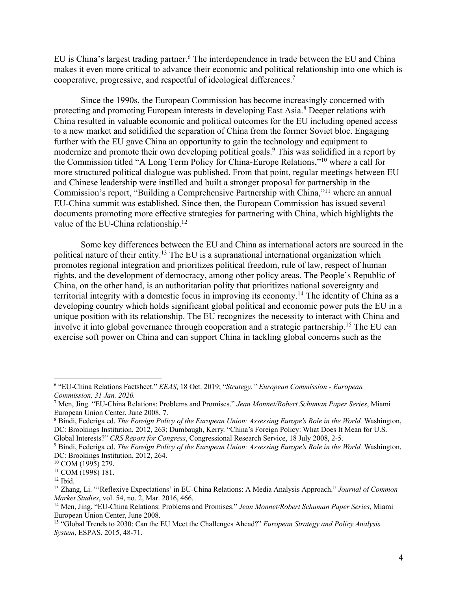EU is China's largest trading partner.<sup>6</sup> The interdependence in trade between the EU and China makes it even more critical to advance their economic and political relationship into one which is cooperative, progressive, and respectful of ideological differences.7

Since the 1990s, the European Commission has become increasingly concerned with protecting and promoting European interests in developing East Asia.<sup>8</sup> Deeper relations with China resulted in valuable economic and political outcomes for the EU including opened access to a new market and solidified the separation of China from the former Soviet bloc. Engaging further with the EU gave China an opportunity to gain the technology and equipment to modernize and promote their own developing political goals.9 This was solidified in a report by the Commission titled "A Long Term Policy for China-Europe Relations,"10 where a call for more structured political dialogue was published. From that point, regular meetings between EU and Chinese leadership were instilled and built a stronger proposal for partnership in the Commission's report, "Building a Comprehensive Partnership with China,"11 where an annual EU-China summit was established. Since then, the European Commission has issued several documents promoting more effective strategies for partnering with China, which highlights the value of the EU-China relationship.<sup>12</sup>

Some key differences between the EU and China as international actors are sourced in the political nature of their entity.<sup>13</sup> The EU is a supranational international organization which promotes regional integration and prioritizes political freedom, rule of law, respect of human rights, and the development of democracy, among other policy areas. The People's Republic of China, on the other hand, is an authoritarian polity that prioritizes national sovereignty and territorial integrity with a domestic focus in improving its economy.14 The identity of China as a developing country which holds significant global political and economic power puts the EU in a unique position with its relationship. The EU recognizes the necessity to interact with China and involve it into global governance through cooperation and a strategic partnership.<sup>15</sup> The EU can exercise soft power on China and can support China in tackling global concerns such as the

<sup>6</sup> "EU-China Relations Factsheet." *EEAS*, 18 Oct. 2019; "*Strategy." European Commission - European Commission, 31 Jan. 2020.*

<sup>7</sup> Men, Jing. "EU-China Relations: Problems and Promises." *Jean Monnet/Robert Schuman Paper Series*, Miami European Union Center, June 2008, 7.

<sup>8</sup> Bindi, Federiga ed. *The Foreign Policy of the European Union: Assessing Europe's Role in the World.* Washington, DC: Brookings Institution, 2012, 263; Dumbaugh, Kerry. "China's Foreign Policy: What Does It Mean for U.S. Global Interests?" *CRS Report for Congress*, Congressional Research Service, 18 July 2008, 2-5.

<sup>9</sup> Bindi, Federiga ed. *The Foreign Policy of the European Union: Assessing Europe's Role in the World.* Washington, DC: Brookings Institution, 2012, 264.<br><sup>10</sup> COM (1995) 279.

 $11$  COM (1998) 181.

 $12$  Ibid.

<sup>13</sup> Zhang, Li. "'Reflexive Expectations' in EU-China Relations: A Media Analysis Approach." *Journal of Common Market Studies*, vol. 54, no. 2, Mar. 2016, 466.

<sup>14</sup> Men, Jing. "EU-China Relations: Problems and Promises." *Jean Monnet/Robert Schuman Paper Series*, Miami European Union Center, June 2008.

<sup>15</sup> "Global Trends to 2030: Can the EU Meet the Challenges Ahead?" *European Strategy and Policy Analysis System*, ESPAS, 2015, 48-71.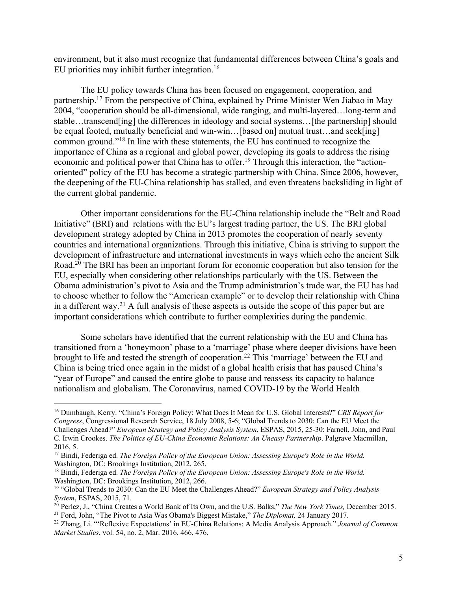environment, but it also must recognize that fundamental differences between China's goals and EU priorities may inhibit further integration.16

The EU policy towards China has been focused on engagement, cooperation, and partnership.17 From the perspective of China, explained by Prime Minister Wen Jiabao in May 2004, "cooperation should be all-dimensional, wide ranging, and multi-layered…long-term and stable…transcend[ing] the differences in ideology and social systems…[the partnership] should be equal footed, mutually beneficial and win-win...[based on] mutual trust...and seek[ing] common ground."18 In line with these statements, the EU has continued to recognize the importance of China as a regional and global power, developing its goals to address the rising economic and political power that China has to offer.19 Through this interaction, the "actionoriented" policy of the EU has become a strategic partnership with China. Since 2006, however, the deepening of the EU-China relationship has stalled, and even threatens backsliding in light of the current global pandemic.

Other important considerations for the EU-China relationship include the "Belt and Road Initiative" (BRI) and relations with the EU's largest trading partner, the US. The BRI global development strategy adopted by China in 2013 promotes the cooperation of nearly seventy countries and international organizations. Through this initiative, China is striving to support the development of infrastructure and international investments in ways which echo the ancient Silk Road.<sup>20</sup> The BRI has been an important forum for economic cooperation but also tension for the EU, especially when considering other relationships particularly with the US. Between the Obama administration's pivot to Asia and the Trump administration's trade war, the EU has had to choose whether to follow the "American example" or to develop their relationship with China in a different way.<sup>21</sup> A full analysis of these aspects is outside the scope of this paper but are important considerations which contribute to further complexities during the pandemic.

Some scholars have identified that the current relationship with the EU and China has transitioned from a 'honeymoon' phase to a 'marriage' phase where deeper divisions have been brought to life and tested the strength of cooperation.22 This 'marriage' between the EU and China is being tried once again in the midst of a global health crisis that has paused China's "year of Europe" and caused the entire globe to pause and reassess its capacity to balance nationalism and globalism. The Coronavirus, named COVID-19 by the World Health

<sup>16</sup> Dumbaugh, Kerry. "China's Foreign Policy: What Does It Mean for U.S. Global Interests?" *CRS Report for Congress*, Congressional Research Service, 18 July 2008, 5-6; "Global Trends to 2030: Can the EU Meet the Challenges Ahead?" *European Strategy and Policy Analysis System*, ESPAS, 2015, 25-30; Farnell, John, and Paul C. Irwin Crookes. *The Politics of EU-China Economic Relations: An Uneasy Partnership*. Palgrave Macmillan, 2016, 5.

<sup>17</sup> Bindi, Federiga ed. *The Foreign Policy of the European Union: Assessing Europe's Role in the World.* Washington, DC: Brookings Institution, 2012, 265.

<sup>&</sup>lt;sup>18</sup> Bindi, Federiga ed. *The Foreign Policy of the European Union: Assessing Europe's Role in the World.* Washington, DC: Brookings Institution, 2012, 266.

<sup>19</sup> "Global Trends to 2030: Can the EU Meet the Challenges Ahead?" *European Strategy and Policy Analysis System*, ESPAS, 2015, 71.

<sup>&</sup>lt;sup>20</sup> Perlez, J., "China Creates a World Bank of Its Own, and the U.S. Balks," *The New York Times*, December 2015. <sup>21</sup> Ford, John, "The Pivot to Asia Was Obama's Biggest Mistake," *The Diplomat,* 24 January 2017.

<sup>22</sup> Zhang, Li. "'Reflexive Expectations' in EU-China Relations: A Media Analysis Approach." *Journal of Common Market Studies*, vol. 54, no. 2, Mar. 2016, 466, 476.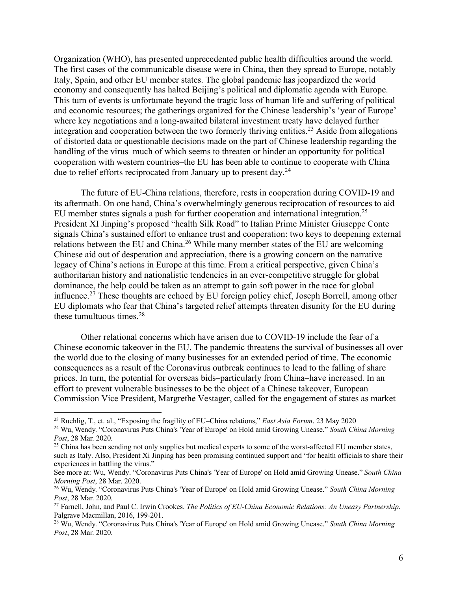Organization (WHO), has presented unprecedented public health difficulties around the world. The first cases of the communicable disease were in China, then they spread to Europe, notably Italy, Spain, and other EU member states. The global pandemic has jeopardized the world economy and consequently has halted Beijing's political and diplomatic agenda with Europe. This turn of events is unfortunate beyond the tragic loss of human life and suffering of political and economic resources; the gatherings organized for the Chinese leadership's 'year of Europe' where key negotiations and a long-awaited bilateral investment treaty have delayed further integration and cooperation between the two formerly thriving entities.<sup>23</sup> Aside from allegations of distorted data or questionable decisions made on the part of Chinese leadership regarding the handling of the virus–much of which seems to threaten or hinder an opportunity for political cooperation with western countries–the EU has been able to continue to cooperate with China due to relief efforts reciprocated from January up to present day.24

The future of EU-China relations, therefore, rests in cooperation during COVID-19 and its aftermath. On one hand, China's overwhelmingly generous reciprocation of resources to aid EU member states signals a push for further cooperation and international integration.<sup>25</sup> President XI Jinping's proposed "health Silk Road" to Italian Prime Minister Giuseppe Conte signals China's sustained effort to enhance trust and cooperation: two keys to deepening external relations between the EU and China.26 While many member states of the EU are welcoming Chinese aid out of desperation and appreciation, there is a growing concern on the narrative legacy of China's actions in Europe at this time. From a critical perspective, given China's authoritarian history and nationalistic tendencies in an ever-competitive struggle for global dominance, the help could be taken as an attempt to gain soft power in the race for global influence.27 These thoughts are echoed by EU foreign policy chief, Joseph Borrell, among other EU diplomats who fear that China's targeted relief attempts threaten disunity for the EU during these tumultuous times.<sup>28</sup>

Other relational concerns which have arisen due to COVID-19 include the fear of a Chinese economic takeover in the EU. The pandemic threatens the survival of businesses all over the world due to the closing of many businesses for an extended period of time. The economic consequences as a result of the Coronavirus outbreak continues to lead to the falling of share prices. In turn, the potential for overseas bids–particularly from China–have increased. In an effort to prevent vulnerable businesses to be the object of a Chinese takeover, European Commission Vice President, Margrethe Vestager, called for the engagement of states as market

<sup>23</sup> Ruehlig, T., et. al., "Exposing the fragility of EU–China relations," *East Asia Forum*. 23 May 2020

<sup>24</sup> Wu, Wendy. "Coronavirus Puts China's 'Year of Europe' on Hold amid Growing Unease." *South China Morning Post*, 28 Mar. 2020.

<sup>&</sup>lt;sup>25</sup> China has been sending not only supplies but medical experts to some of the worst-affected EU member states, such as Italy. Also, President Xi Jinping has been promising continued support and "for health officials to share their experiences in battling the virus."

See more at: Wu, Wendy. "Coronavirus Puts China's 'Year of Europe' on Hold amid Growing Unease." *South China Morning Post*, 28 Mar. 2020.

<sup>26</sup> Wu, Wendy. "Coronavirus Puts China's 'Year of Europe' on Hold amid Growing Unease." *South China Morning Post*, 28 Mar. 2020.

<sup>27</sup> Farnell, John, and Paul C. Irwin Crookes. *The Politics of EU-China Economic Relations: An Uneasy Partnership*. Palgrave Macmillan, 2016, 199-201.

<sup>28</sup> Wu, Wendy. "Coronavirus Puts China's 'Year of Europe' on Hold amid Growing Unease." *South China Morning Post*, 28 Mar. 2020.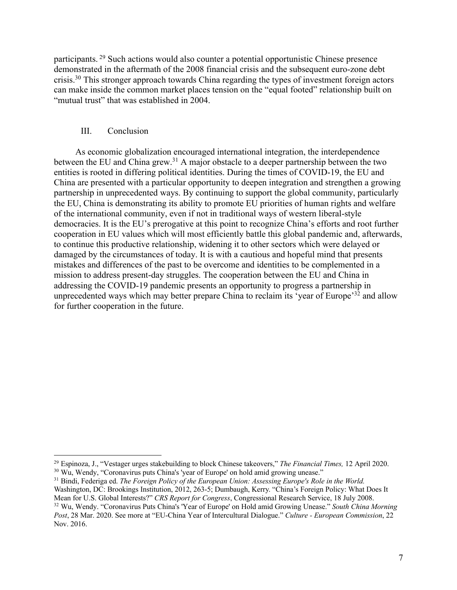participants. <sup>29</sup> Such actions would also counter a potential opportunistic Chinese presence demonstrated in the aftermath of the 2008 financial crisis and the subsequent euro-zone debt crisis.30 This stronger approach towards China regarding the types of investment foreign actors can make inside the common market places tension on the "equal footed" relationship built on "mutual trust" that was established in 2004.

### III. Conclusion

As economic globalization encouraged international integration, the interdependence between the EU and China grew.<sup>31</sup> A major obstacle to a deeper partnership between the two entities is rooted in differing political identities. During the times of COVID-19, the EU and China are presented with a particular opportunity to deepen integration and strengthen a growing partnership in unprecedented ways. By continuing to support the global community, particularly the EU, China is demonstrating its ability to promote EU priorities of human rights and welfare of the international community, even if not in traditional ways of western liberal-style democracies. It is the EU's prerogative at this point to recognize China's efforts and root further cooperation in EU values which will most efficiently battle this global pandemic and, afterwards, to continue this productive relationship, widening it to other sectors which were delayed or damaged by the circumstances of today. It is with a cautious and hopeful mind that presents mistakes and differences of the past to be overcome and identities to be complemented in a mission to address present-day struggles. The cooperation between the EU and China in addressing the COVID-19 pandemic presents an opportunity to progress a partnership in unprecedented ways which may better prepare China to reclaim its 'year of Europe'<sup>32</sup> and allow for further cooperation in the future.

<sup>29</sup> Espinoza, J., "Vestager urges stakebuilding to block Chinese takeovers," *The Financial Times,* 12 April 2020. <sup>30</sup> Wu, Wendy, "Coronavirus puts China's 'year of Europe' on hold amid growing unease."

<sup>31</sup> Bindi, Federiga ed. *The Foreign Policy of the European Union: Assessing Europe's Role in the World.* Washington, DC: Brookings Institution, 2012, 263-5; Dumbaugh, Kerry. "China's Foreign Policy: What Does It Mean for U.S. Global Interests?" *CRS Report for Congress*, Congressional Research Service, 18 July 2008. <sup>32</sup> Wu, Wendy. "Coronavirus Puts China's 'Year of Europe' on Hold amid Growing Unease." *South China Morning Post*, 28 Mar. 2020. See more at "EU-China Year of Intercultural Dialogue." *Culture - European Commission*, 22 Nov. 2016.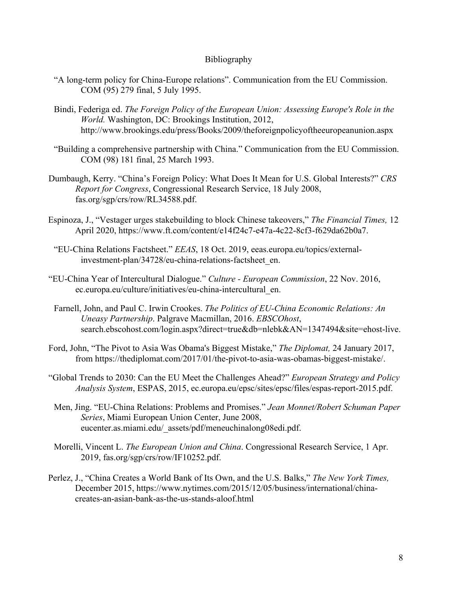### Bibliography

- "A long-term policy for China-Europe relations". Communication from the EU Commission. COM (95) 279 final, 5 July 1995.
- Bindi, Federiga ed. *The Foreign Policy of the European Union: Assessing Europe's Role in the World.* Washington, DC: Brookings Institution, 2012, http://www.brookings.edu/press/Books/2009/theforeignpolicyoftheeuropeanunion.aspx
- "Building a comprehensive partnership with China." Communication from the EU Commission. COM (98) 181 final, 25 March 1993.
- Dumbaugh, Kerry. "China's Foreign Policy: What Does It Mean for U.S. Global Interests?" *CRS Report for Congress*, Congressional Research Service, 18 July 2008, fas.org/sgp/crs/row/RL34588.pdf.
- Espinoza, J., "Vestager urges stakebuilding to block Chinese takeovers," *The Financial Times,* 12 April 2020, https://www.ft.com/content/e14f24c7-e47a-4c22-8cf3-f629da62b0a7.
- "EU-China Relations Factsheet." *EEAS*, 18 Oct. 2019, eeas.europa.eu/topics/externalinvestment-plan/34728/eu-china-relations-factsheet\_en.
- "EU-China Year of Intercultural Dialogue." *Culture - European Commission*, 22 Nov. 2016, ec.europa.eu/culture/initiatives/eu-china-intercultural\_en.
- Farnell, John, and Paul C. Irwin Crookes. *The Politics of EU-China Economic Relations: An Uneasy Partnership*. Palgrave Macmillan, 2016. *EBSCOhost*, search.ebscohost.com/login.aspx?direct=true&db=nlebk&AN=1347494&site=ehost-live.
- Ford, John, "The Pivot to Asia Was Obama's Biggest Mistake," *The Diplomat,* 24 January 2017, from https://thediplomat.com/2017/01/the-pivot-to-asia-was-obamas-biggest-mistake/.
- "Global Trends to 2030: Can the EU Meet the Challenges Ahead?" *European Strategy and Policy Analysis System*, ESPAS, 2015, ec.europa.eu/epsc/sites/epsc/files/espas-report-2015.pdf.
- Men, Jing. "EU-China Relations: Problems and Promises." *Jean Monnet/Robert Schuman Paper Series*, Miami European Union Center, June 2008, eucenter.as.miami.edu/\_assets/pdf/meneuchinalong08edi.pdf.
- Morelli, Vincent L. *The European Union and China*. Congressional Research Service, 1 Apr. 2019, fas.org/sgp/crs/row/IF10252.pdf.
- Perlez, J., "China Creates a World Bank of Its Own, and the U.S. Balks," *The New York Times,*  December 2015, https://www.nytimes.com/2015/12/05/business/international/chinacreates-an-asian-bank-as-the-us-stands-aloof.html